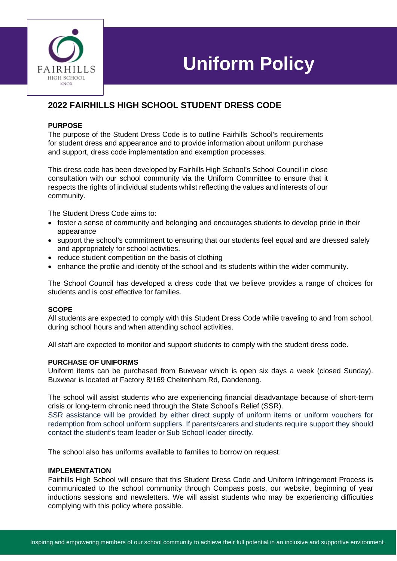

# **Uniform Policy**

# **2022 FAIRHILLS HIGH SCHOOL STUDENT DRESS CODE**

#### **PURPOSE**

The purpose of the Student Dress Code is to outline Fairhills School's requirements for student dress and appearance and to provide information about uniform purchase and support, dress code implementation and exemption processes.

This dress code has been developed by Fairhills High School's School Council in close consultation with our school community via the Uniform Committee to ensure that it respects the rights of individual students whilst reflecting the values and interests of our community.

The Student Dress Code aims to:

- foster a sense of community and belonging and encourages students to develop pride in their appearance
- support the school's commitment to ensuring that our students feel equal and are dressed safely and appropriately for school activities.
- reduce student competition on the basis of clothing
- enhance the profile and identity of the school and its students within the wider community.

The School Council has developed a dress code that we believe provides a range of choices for students and is cost effective for families.

#### **SCOPE**

All students are expected to comply with this Student Dress Code while traveling to and from school, during school hours and when attending school activities.

All staff are expected to monitor and support students to comply with the student dress code.

#### **PURCHASE OF UNIFORMS**

Uniform items can be purchased from Buxwear which is open six days a week (closed Sunday). Buxwear is located at Factory 8/169 Cheltenham Rd, Dandenong.

The school will assist students who are experiencing financial disadvantage because of short-term crisis or long-term chronic need through the State School's Relief (SSR).

SSR assistance will be provided by either direct supply of uniform items or uniform vouchers for redemption from school uniform suppliers. If parents/carers and students require support they should contact the student's team leader or Sub School leader directly.

The school also has uniforms available to families to borrow on request.

#### **IMPLEMENTATION**

Fairhills High School will ensure that this Student Dress Code and Uniform Infringement Process is communicated to the school community through Compass posts, our website, beginning of year inductions sessions and newsletters. We will assist students who may be experiencing difficulties complying with this policy where possible.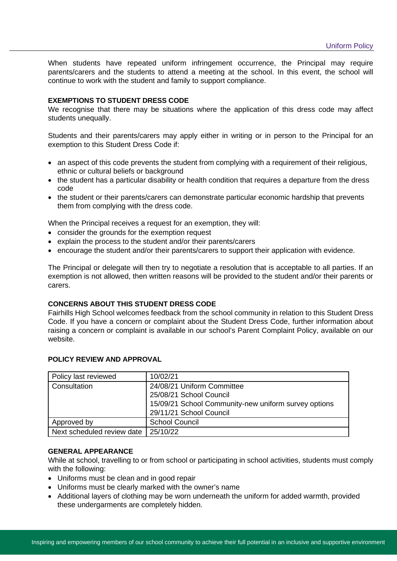When students have repeated uniform infringement occurrence, the Principal may require parents/carers and the students to attend a meeting at the school. In this event, the school will continue to work with the student and family to support compliance.

#### **EXEMPTIONS TO STUDENT DRESS CODE**

We recognise that there may be situations where the application of this dress code may affect students unequally.

Students and their parents/carers may apply either in writing or in person to the Principal for an exemption to this Student Dress Code if:

- an aspect of this code prevents the student from complying with a requirement of their religious, ethnic or cultural beliefs or background
- the student has a particular disability or health condition that requires a departure from the dress code
- the student or their parents/carers can demonstrate particular economic hardship that prevents them from complying with the dress code.

When the Principal receives a request for an exemption, they will:

- consider the grounds for the exemption request
- explain the process to the student and/or their parents/carers
- encourage the student and/or their parents/carers to support their application with evidence.

The Principal or delegate will then try to negotiate a resolution that is acceptable to all parties. If an exemption is not allowed, then written reasons will be provided to the student and/or their parents or carers.

### **CONCERNS ABOUT THIS STUDENT DRESS CODE**

Fairhills High School welcomes feedback from the school community in relation to this Student Dress Code. If you have a concern or complaint about the Student Dress Code, further information about raising a concern or complaint is available in our school's Parent Complaint Policy, available on our website.

| Policy last reviewed       | 10/02/21                                                                                                                                 |
|----------------------------|------------------------------------------------------------------------------------------------------------------------------------------|
| Consultation               | 24/08/21 Uniform Committee<br>25/08/21 School Council<br>15/09/21 School Community-new uniform survey options<br>29/11/21 School Council |
| Approved by                | <b>School Council</b>                                                                                                                    |
| Next scheduled review date | 25/10/22                                                                                                                                 |

#### **POLICY REVIEW AND APPROVAL**

## **GENERAL APPEARANCE**

While at school, travelling to or from school or participating in school activities, students must comply with the following:

- Uniforms must be clean and in good repair
- Uniforms must be clearly marked with the owner's name
- Additional layers of clothing may be worn underneath the uniform for added warmth, provided these undergarments are completely hidden.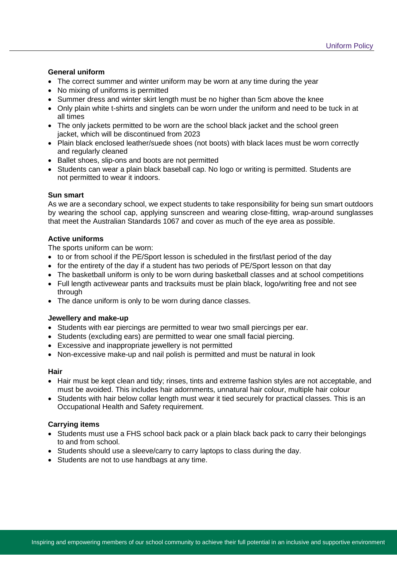#### **General uniform**

- The correct summer and winter uniform may be worn at any time during the year
- No mixing of uniforms is permitted
- Summer dress and winter skirt length must be no higher than 5cm above the knee
- Only plain white t-shirts and singlets can be worn under the uniform and need to be tuck in at all times
- The only jackets permitted to be worn are the school black jacket and the school green jacket, which will be discontinued from 2023
- Plain black enclosed leather/suede shoes (not boots) with black laces must be worn correctly and regularly cleaned
- Ballet shoes, slip-ons and boots are not permitted
- Students can wear a plain black baseball cap. No logo or writing is permitted. Students are not permitted to wear it indoors.

#### **Sun smart**

As we are a secondary school, we expect students to take responsibility for being sun smart outdoors by wearing the school cap, applying sunscreen and wearing close-fitting, wrap-around sunglasses that meet the Australian Standards 1067 and cover as much of the eye area as possible.

#### **Active uniforms**

The sports uniform can be worn:

- to or from school if the PE/Sport lesson is scheduled in the first/last period of the day
- for the entirety of the day if a student has two periods of PE/Sport lesson on that day
- The basketball uniform is only to be worn during basketball classes and at school competitions
- Full length activewear pants and tracksuits must be plain black, logo/writing free and not see through
- The dance uniform is only to be worn during dance classes.

#### **Jewellery and make-up**

- Students with ear piercings are permitted to wear two small piercings per ear.
- Students (excluding ears) are permitted to wear one small facial piercing.
- Excessive and inappropriate jewellery is not permitted
- Non-excessive make-up and nail polish is permitted and must be natural in look

#### **Hair**

- Hair must be kept clean and tidy; rinses, tints and extreme fashion styles are not acceptable, and must be avoided. This includes hair adornments, unnatural hair colour, multiple hair colour
- Students with hair below collar length must wear it tied securely for practical classes. This is an Occupational Health and Safety requirement.

#### **Carrying items**

- Students must use a FHS school back pack or a plain black back pack to carry their belongings to and from school.
- Students should use a sleeve/carry to carry laptops to class during the day.
- Students are not to use handbags at any time.